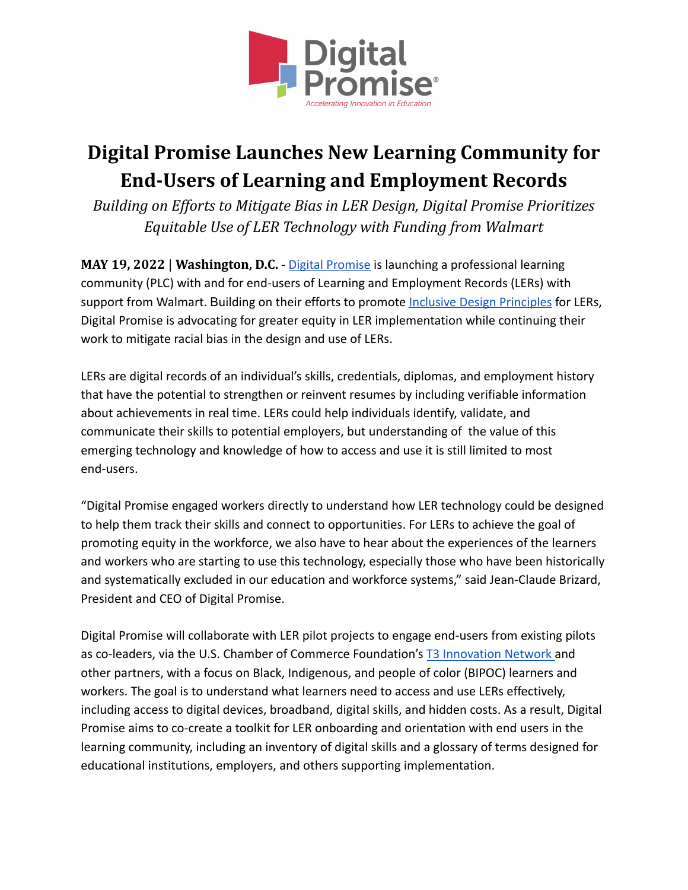

## **Digital Promise Launches New Learning Community for End-Users of Learning and Employment Records**

*Building on Ef orts to Mitigate Bias in LER Design, Digital Promise Prioritizes Equitable Use of LER Technology with Funding from Walmart*

**MAY 19, 2022** | **Washington, D.C.** - [Digital Promise](https://digitalpromise.org/) is launching a professional learning community (PLC) with and for end-users of Learning and Employment Records (LERs) with support from Walmart. Building on their efforts to promote [Inclusive Design Principles](https://digitalpromise.org/2022/04/25/its-in-the-design-learning-and-employment-records-for-greater-equity/) for LERs, Digital Promise is advocating for greater equity in LER implementation while continuing their work to mitigate racial bias in the design and use of LERs.

LERs are digital records of an individual's skills, credentials, diplomas, and employment history that have the potential to strengthen or reinvent resumes by including verifiable information about achievements in real time. LERs could help individuals identify, validate, and communicate their skills to potential employers, but understanding of the value of this emerging technology and knowledge of how to access and use it is still limited to most end-users.

"Digital Promise engaged workers directly to understand how LER technology could be designed to help them track their skills and connect to opportunities. For LERs to achieve the goal of promoting equity in the workforce, we also have to hear about the experiences of the learners and workers who are starting to use this technology, especially those who have been historically and systematically excluded in our education and workforce systems," said Jean-Claude Brizard, President and CEO of Digital Promise.

Digital Promise will collaborate with LER pilot projects to engage end-users from existing pilots as co-leaders, via the U.S. Chamber of Commerce Foundation's [T3 Innovation Network](https://lerhub.org/g/bqCgme2fQxDbgJ6D7) and other partners, with a focus on Black, Indigenous, and people of color (BIPOC) learners and workers. The goal is to understand what learners need to access and use LERs effectively, including access to digital devices, broadband, digital skills, and hidden costs. As a result, Digital Promise aims to co-create a toolkit for LER onboarding and orientation with end users in the learning community, including an inventory of digital skills and a glossary of terms designed for educational institutions, employers, and others supporting implementation.